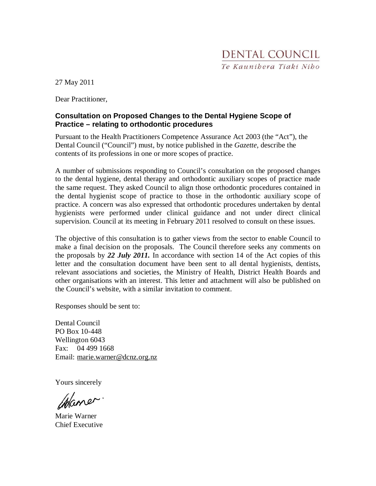27 May 2011

Dear Practitioner,

#### **Consultation on Proposed Changes to the Dental Hygiene Scope of Practice – relating to orthodontic procedures**

Pursuant to the Health Practitioners Competence Assurance Act 2003 (the "Act"), the Dental Council ("Council") must, by notice published in the *Gazette,* describe the contents of its professions in one or more scopes of practice.

A number of submissions responding to Council's consultation on the proposed changes to the dental hygiene, dental therapy and orthodontic auxiliary scopes of practice made the same request. They asked Council to align those orthodontic procedures contained in the dental hygienist scope of practice to those in the orthodontic auxiliary scope of practice. A concern was also expressed that orthodontic procedures undertaken by dental hygienists were performed under clinical guidance and not under direct clinical supervision. Council at its meeting in February 2011 resolved to consult on these issues.

The objective of this consultation is to gather views from the sector to enable Council to make a final decision on the proposals. The Council therefore seeks any comments on the proposals by *22 July 2011.* In accordance with section 14 of the Act copies of this letter and the consultation document have been sent to all dental hygienists, dentists, relevant associations and societies, the Ministry of Health, District Health Boards and other organisations with an interest. This letter and attachment will also be published on the Council's website, with a similar invitation to comment.

Responses should be sent to:

Dental Council PO Box 10-448 Wellington 6043 Fax: 04 499 1668 Email: marie.warner@dcnz.org.nz

Yours sincerely

maner

Marie Warner Chief Executive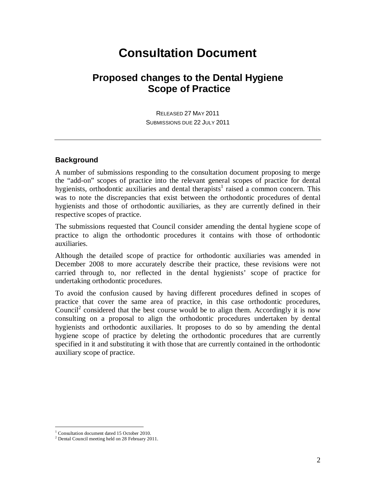## **Consultation Document**

## **Proposed changes to the Dental Hygiene Scope of Practice**

RELEASED 27 MAY 2011 SUBMISSIONS DUE 22 JULY 2011

#### **Background**

A number of submissions responding to the consultation document proposing to merge the "add-on" scopes of practice into the relevant general scopes of practice for dental hygienists, orthodontic auxiliaries and dental therapists<sup>1</sup> raised a common concern. This was to note the discrepancies that exist between the orthodontic procedures of dental hygienists and those of orthodontic auxiliaries, as they are currently defined in their respective scopes of practice.

The submissions requested that Council consider amending the dental hygiene scope of practice to align the orthodontic procedures it contains with those of orthodontic auxiliaries.

Although the detailed scope of practice for orthodontic auxiliaries was amended in December 2008 to more accurately describe their practice, these revisions were not carried through to, nor reflected in the dental hygienists' scope of practice for undertaking orthodontic procedures.

To avoid the confusion caused by having different procedures defined in scopes of practice that cover the same area of practice, in this case orthodontic procedures, Council<sup>2</sup> considered that the best course would be to align them. Accordingly it is now consulting on a proposal to align the orthodontic procedures undertaken by dental hygienists and orthodontic auxiliaries. It proposes to do so by amending the dental hygiene scope of practice by deleting the orthodontic procedures that are currently specified in it and substituting it with those that are currently contained in the orthodontic auxiliary scope of practice.

-

<sup>&</sup>lt;sup>1</sup> Consultation document dated 15 October 2010.

<sup>&</sup>lt;sup>2</sup> Dental Council meeting held on 28 February 2011.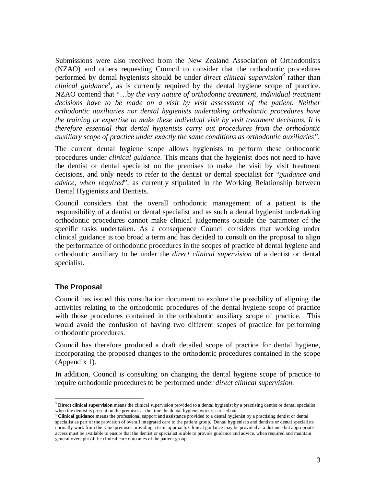Submissions were also received from the New Zealand Association of Orthodontists (NZAO) and others requesting Council to consider that the orthodontic procedures performed by dental hygienists should be under *direct clinical supervision<sup>3</sup>* rather than *clinical guidance<sup>4</sup>* , as is currently required by the dental hygiene scope of practice. NZAO contend that "…b*y the very nature of orthodontic treatment, individual treatment decisions have to be made on a visit by visit assessment of the patient. Neither orthodontic auxiliaries nor dental hygienists undertaking orthodontic procedures have the training or expertise to make these individual visit by visit treatment decisions. It is therefore essential that dental hygienists carry out procedures from the orthodontic auxiliary scope of practice under exactly the same conditions as orthodontic auxiliaries".* 

The current dental hygiene scope allows hygienists to perform these orthodontic procedures under *clinical guidance.* This means that the hygienist does not need to have the dentist or dental specialist on the premises to make the visit by visit treatment decisions, and only needs to refer to the dentist or dental specialist for "*guidance and advice, when required*", as currently stipulated in the Working Relationship between Dental Hygienists and Dentists.

Council considers that the overall orthodontic management of a patient is the responsibility of a dentist or dental specialist and as such a dental hygienist undertaking orthodontic procedures cannot make clinical judgements outside the parameter of the specific tasks undertaken. As a consequence Council considers that working under clinical guidance is too broad a term and has decided to consult on the proposal to align the performance of orthodontic procedures in the scopes of practice of dental hygiene and orthodontic auxiliary to be under the *direct clinical supervision* of a dentist or dental specialist.

#### **The Proposal**

Council has issued this consultation document to explore the possibility of aligning the activities relating to the orthodontic procedures of the dental hygiene scope of practice with those procedures contained in the orthodontic auxiliary scope of practice. This would avoid the confusion of having two different scopes of practice for performing orthodontic procedures.

Council has therefore produced a draft detailed scope of practice for dental hygiene, incorporating the proposed changes to the orthodontic procedures contained in the scope (Appendix 1).

In addition, Council is consulting on changing the dental hygiene scope of practice to require orthodontic procedures to be performed under *direct clinical supervision.* 

<sup>-</sup><sup>3</sup> **Direct clinical supervision** means the clinical supervision provided to a dental hygienist by a practising dentist or dental specialist

when the dentist is present on the premises at the time the dental hygiene work is carried out.<br><sup>4</sup> Clinical guidance means the professional support and assistance provided to a dental hygienist by a practising dentist or specialist as part of the provision of overall integrated care to the patient group. Dental hygienist s and dentists or dental specialists normally work from the same premises providing a team approach. Clinical guidance may be provided at a distance but appropriate access must be available to ensure that the dentist or specialist is able to provide guidance and advice, when required and maintain general oversight of the clinical care outcomes of the patient group.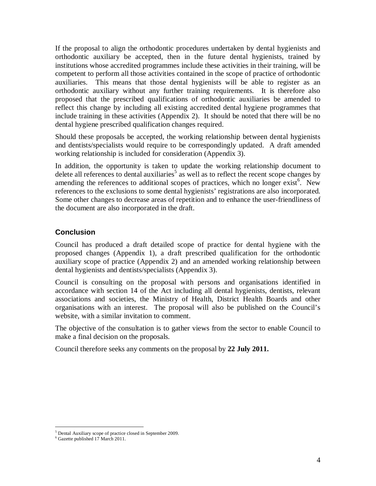If the proposal to align the orthodontic procedures undertaken by dental hygienists and orthodontic auxiliary be accepted, then in the future dental hygienists, trained by institutions whose accredited programmes include these activities in their training, will be competent to perform all those activities contained in the scope of practice of orthodontic auxiliaries. This means that those dental hygienists will be able to register as an orthodontic auxiliary without any further training requirements. It is therefore also proposed that the prescribed qualifications of orthodontic auxiliaries be amended to reflect this change by including all existing accredited dental hygiene programmes that include training in these activities (Appendix 2). It should be noted that there will be no dental hygiene prescribed qualification changes required.

Should these proposals be accepted, the working relationship between dental hygienists and dentists/specialists would require to be correspondingly updated. A draft amended working relationship is included for consideration (Appendix 3).

In addition, the opportunity is taken to update the working relationship document to delete all references to dental auxiliaries<sup>5</sup> as well as to reflect the recent scope changes by amending the references to additional scopes of practices, which no longer exist<sup>6</sup>. New references to the exclusions to some dental hygienists' registrations are also incorporated. Some other changes to decrease areas of repetition and to enhance the user-friendliness of the document are also incorporated in the draft.

#### **Conclusion**

Council has produced a draft detailed scope of practice for dental hygiene with the proposed changes (Appendix 1), a draft prescribed qualification for the orthodontic auxiliary scope of practice (Appendix 2) and an amended working relationship between dental hygienists and dentists/specialists (Appendix 3).

Council is consulting on the proposal with persons and organisations identified in accordance with section 14 of the Act including all dental hygienists, dentists, relevant associations and societies, the Ministry of Health, District Health Boards and other organisations with an interest. The proposal will also be published on the Council's website, with a similar invitation to comment.

The objective of the consultation is to gather views from the sector to enable Council to make a final decision on the proposals.

Council therefore seeks any comments on the proposal by **22 July 2011.**

<sup>-</sup>5 Dental Auxiliary scope of practice closed in September 2009.

<sup>6</sup> Gazette published 17 March 2011.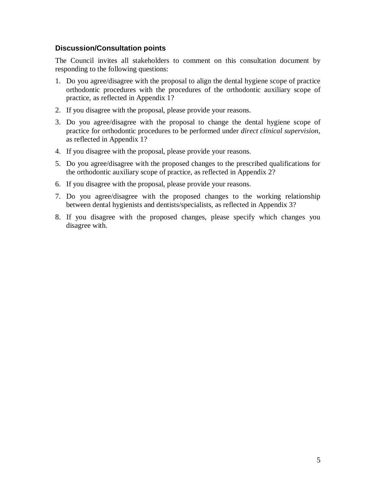#### **Discussion/Consultation points**

The Council invites all stakeholders to comment on this consultation document by responding to the following questions:

- 1. Do you agree/disagree with the proposal to align the dental hygiene scope of practice orthodontic procedures with the procedures of the orthodontic auxiliary scope of practice, as reflected in Appendix 1?
- 2. If you disagree with the proposal, please provide your reasons.
- 3. Do you agree/disagree with the proposal to change the dental hygiene scope of practice for orthodontic procedures to be performed under *direct clinical supervision*, as reflected in Appendix 1?
- 4. If you disagree with the proposal, please provide your reasons.
- 5. Do you agree/disagree with the proposed changes to the prescribed qualifications for the orthodontic auxiliary scope of practice, as reflected in Appendix 2?
- 6. If you disagree with the proposal, please provide your reasons.
- 7. Do you agree/disagree with the proposed changes to the working relationship between dental hygienists and dentists/specialists, as reflected in Appendix 3?
- 8. If you disagree with the proposed changes, please specify which changes you disagree with.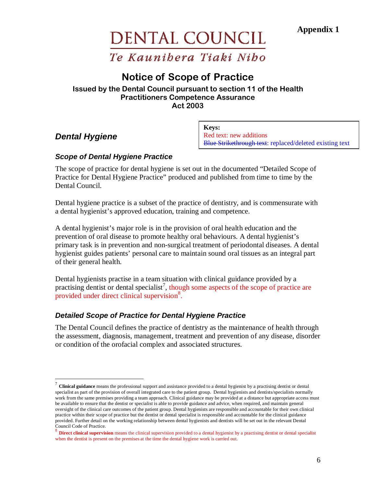**Appendix 1** 

## DENTAL COUNCIL Te Kaunibera Tiaki Nibo

## Notice of Scope of Practice

#### Issued by the Dental Council pursuant to section 11 of the Health Practitioners Competence Assurance Act 2003

#### **Dental Hygiene**

<u>.</u>

**Keys:** Red text: new additions Blue Strikethrough text: replaced/deleted existing text

#### **Scope of Dental Hygiene Practice**

The scope of practice for dental hygiene is set out in the documented "Detailed Scope of Practice for Dental Hygiene Practice" produced and published from time to time by the Dental Council.

Dental hygiene practice is a subset of the practice of dentistry, and is commensurate with a dental hygienist's approved education, training and competence.

A dental hygienist's major role is in the provision of oral health education and the prevention of oral disease to promote healthy oral behaviours. A dental hygienist's primary task is in prevention and non-surgical treatment of periodontal diseases. A dental hygienist guides patients' personal care to maintain sound oral tissues as an integral part of their general health.

Dental hygienists practise in a team situation with clinical guidance provided by a practising dentist or dental specialist<sup>7</sup>, though some aspects of the scope of practice are provided under direct clinical supervision<sup>8</sup>.

#### **Detailed Scope of Practice for Dental Hygiene Practice**

The Dental Council defines the practice of dentistry as the maintenance of health through the assessment, diagnosis, management, treatment and prevention of any disease, disorder or condition of the orofacial complex and associated structures.

<sup>&</sup>lt;sup>7</sup> Clinical guidance means the professional support and assistance provided to a dental hygienist by a practising dentist or dental specialist as part of the provision of overall integrated care to the patient group. Dental hygienists and dentists/specialists normally work from the same premises providing a team approach. Clinical guidance may be provided at a distance but appropriate access must be available to ensure that the dentist or specialist is able to provide guidance and advice, when required, and maintain general oversight of the clinical care outcomes of the patient group. Dental hygienists are responsible and accountable for their own clinical practice within their scope of practice but the dentist or dental specialist is responsible and accountable for the clinical guidance provided. Further detail on the working relationship between dental hygienists and dentists will be set out in the relevant Dental Council Code of Practice.

<sup>&</sup>lt;sup>8</sup> Direct clinical supervision means the clinical supervision provided to a dental hygienist by a practising dentist or dental specialist when the dentist is present on the premises at the time the dental hygiene work is carried out.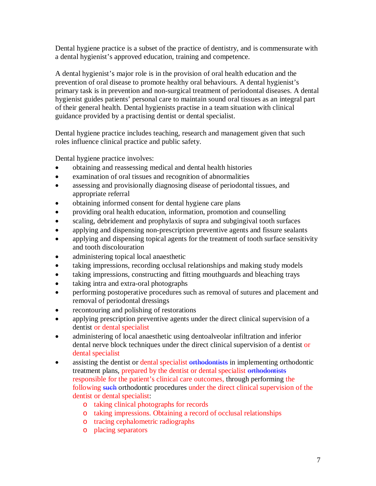Dental hygiene practice is a subset of the practice of dentistry, and is commensurate with a dental hygienist's approved education, training and competence.

A dental hygienist's major role is in the provision of oral health education and the prevention of oral disease to promote healthy oral behaviours. A dental hygienist's primary task is in prevention and non-surgical treatment of periodontal diseases. A dental hygienist guides patients' personal care to maintain sound oral tissues as an integral part of their general health. Dental hygienists practise in a team situation with clinical guidance provided by a practising dentist or dental specialist.

Dental hygiene practice includes teaching, research and management given that such roles influence clinical practice and public safety.

Dental hygiene practice involves:

- obtaining and reassessing medical and dental health histories
- examination of oral tissues and recognition of abnormalities
- assessing and provisionally diagnosing disease of periodontal tissues, and appropriate referral
- obtaining informed consent for dental hygiene care plans
- providing oral health education, information, promotion and counselling
- scaling, debridement and prophylaxis of supra and subgingival tooth surfaces
- applying and dispensing non-prescription preventive agents and fissure sealants
- applying and dispensing topical agents for the treatment of tooth surface sensitivity and tooth discolouration
- administering topical local anaesthetic
- taking impressions, recording occlusal relationships and making study models
- taking impressions, constructing and fitting mouthguards and bleaching trays
- taking intra and extra-oral photographs
- performing postoperative procedures such as removal of sutures and placement and removal of periodontal dressings
- recontouring and polishing of restorations
- applying prescription preventive agents under the direct clinical supervision of a dentist or dental specialist
- administering of local anaesthetic using dentoalveolar infiltration and inferior dental nerve block techniques under the direct clinical supervision of a dentist or dental specialist
- assisting the dentist or dental specialist orthodontists in implementing orthodontic treatment plans, prepared by the dentist or dental specialist orthodontists responsible for the patient's clinical care outcomes, through performing the following such orthodontic procedures under the direct clinical supervision of the dentist or dental specialist:
	- o taking clinical photographs for records
	- o taking impressions. Obtaining a record of occlusal relationships
	- o tracing cephalometric radiographs
	- o placing separators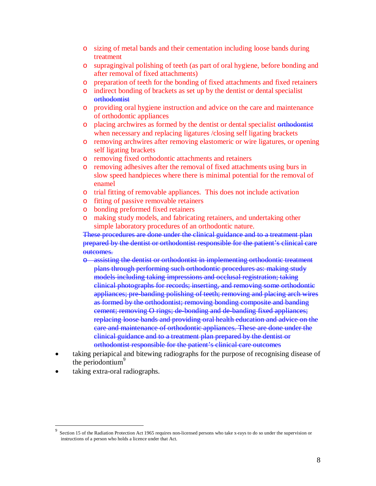- o sizing of metal bands and their cementation including loose bands during treatment
- o supragingival polishing of teeth (as part of oral hygiene, before bonding and after removal of fixed attachments)
- o preparation of teeth for the bonding of fixed attachments and fixed retainers
- o indirect bonding of brackets as set up by the dentist or dental specialist **orthodontist**
- o providing oral hygiene instruction and advice on the care and maintenance of orthodontic appliances
- o placing archwires as formed by the dentist or dental specialist orthodontist when necessary and replacing ligatures /closing self ligating brackets
- o removing archwires after removing elastomeric or wire ligatures, or opening self ligating brackets
- o removing fixed orthodontic attachments and retainers
- o removing adhesives after the removal of fixed attachments using burs in slow speed handpieces where there is minimal potential for the removal of enamel
- o trial fitting of removable appliances. This does not include activation
- o fitting of passive removable retainers
- o bonding preformed fixed retainers
- o making study models, and fabricating retainers, and undertaking other simple laboratory procedures of an orthodontic nature.

These procedures are done under the clinical guidance and to a treatment plan prepared by the dentist or orthodontist responsible for the patient's clinical care outcomes.

- assisting the dentist or orthodontist in implementing orthodontic treatment plans through performing such orthodontic procedures as: making study models including taking impressions and occlusal registration; taking clinical photographs for records; inserting, and removing some orthodontic appliances; pre-banding polishing of teeth; removing and placing arch wires as formed by the orthodontist; removing bonding composite and banding cement; removing O rings; de-bonding and de-banding fixed appliances; replacing loose bands and providing oral health education and advice on the care and maintenance of orthodontic appliances. These are done under the clinical guidance and to a treatment plan prepared by the dentist or orthodontist responsible for the patient's clinical care outcomes
- taking periapical and bitewing radiographs for the purpose of recognising disease of the periodontium $\degree$
- taking extra-oral radiographs.

<u>.</u>

<sup>9</sup> Section 15 of the Radiation Protection Act 1965 requires non-licensed persons who take x-rays to do so under the supervision or instructions of a person who holds a licence under that Act.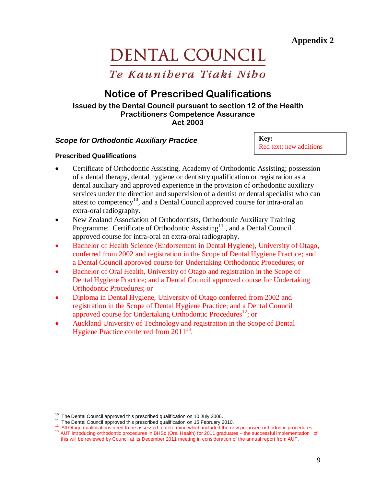# DENTAL COUNCIL

Te Kaunibera Tiaki Nibo

## Notice of Prescribed Qualifications

#### Issued by the Dental Council pursuant to section 12 of the Health Practitioners Competence Assurance Act 2003

#### **Scope for Orthodontic Auxiliary Practice**

**Key:** Red text: new additions

#### **Prescribed Qualifications**

- Certificate of Orthodontic Assisting, Academy of Orthodontic Assisting; possession of a dental therapy, dental hygiene or dentistry qualification or registration as a dental auxiliary and approved experience in the provision of orthodontic auxiliary services under the direction and supervision of a dentist or dental specialist who can attest to competency<sup>10</sup>, and a Dental Council approved course for intra-oral an extra-oral radiography.
- New Zealand Association of Orthodontists, Orthodontic Auxiliary Training Programme: Certificate of Orthodontic Assisting<sup>11</sup>, and a Dental Council approved course for intra-oral an extra-oral radiography.
- Bachelor of Health Science (Endorsement in Dental Hygiene), University of Otago, conferred from 2002 and registration in the Scope of Dental Hygiene Practice; and a Dental Council approved course for Undertaking Orthodontic Procedures; or
- Bachelor of Oral Health, University of Otago and registration in the Scope of Dental Hygiene Practice; and a Dental Council approved course for Undertaking Orthodontic Procedures; or
- Diploma in Dental Hygiene, University of Otago conferred from 2002 and registration in the Scope of Dental Hygiene Practice; and a Dental Council approved course for Undertaking Orthodontic Procedures<sup>12</sup>; or
- Auckland University of Technology and registration in the Scope of Dental Hygiene Practice conferred from  $2011^{13}$ .

<sup>&</sup>lt;u>.</u>  $10$  The Dental Council approved this prescribed qualification on 10 July 2006.

<sup>&</sup>lt;sup>11</sup> The Dental Council approved this prescribed qualification on 15 February 2010.

<sup>&</sup>lt;sup>12</sup> All Otago qualifications need to be assessed to determine which included the new proposed orthodontic procedures. <sup>13</sup> AUT introducing orthodontic procedures in BHSc (Oral Health) for 2011 graduates – the successful implementation of

this will be reviewed by Council at its December 2011 meeting in consideration of the annual report from AUT.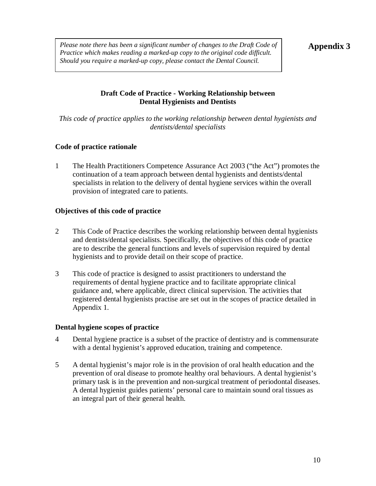*Please note there has been a significant number of changes to the Draft Code of*  $\vert$  **Appendix 3** *Practice which makes reading a marked-up copy to the original code difficult. Should you require a marked-up copy, please contact the Dental Council.* 

#### **Draft Code of Practice - Working Relationship between Dental Hygienists and Dentists**

*This code of practice applies to the working relationship between dental hygienists and dentists/dental specialists* 

#### **Code of practice rationale**

1 The Health Practitioners Competence Assurance Act 2003 ("the Act") promotes the continuation of a team approach between dental hygienists and dentists/dental specialists in relation to the delivery of dental hygiene services within the overall provision of integrated care to patients.

#### **Objectives of this code of practice**

- 2 This Code of Practice describes the working relationship between dental hygienists and dentists/dental specialists. Specifically, the objectives of this code of practice are to describe the general functions and levels of supervision required by dental hygienists and to provide detail on their scope of practice.
- 3 This code of practice is designed to assist practitioners to understand the requirements of dental hygiene practice and to facilitate appropriate clinical guidance and, where applicable, direct clinical supervision. The activities that registered dental hygienists practise are set out in the scopes of practice detailed in Appendix 1.

#### **Dental hygiene scopes of practice**

- 4 Dental hygiene practice is a subset of the practice of dentistry and is commensurate with a dental hygienist's approved education, training and competence.
- 5 A dental hygienist's major role is in the provision of oral health education and the prevention of oral disease to promote healthy oral behaviours. A dental hygienist's primary task is in the prevention and non-surgical treatment of periodontal diseases. A dental hygienist guides patients' personal care to maintain sound oral tissues as an integral part of their general health.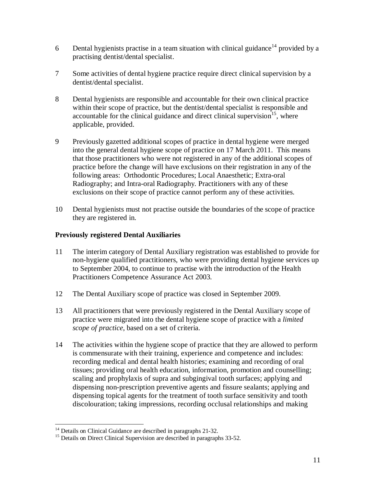- 6 Dental hygienists practise in a team situation with clinical guidance<sup>14</sup> provided by a practising dentist/dental specialist.
- 7 Some activities of dental hygiene practice require direct clinical supervision by a dentist/dental specialist.
- 8 Dental hygienists are responsible and accountable for their own clinical practice within their scope of practice, but the dentist/dental specialist is responsible and accountable for the clinical guidance and direct clinical supervision<sup>15</sup>, where applicable, provided.
- 9 Previously gazetted additional scopes of practice in dental hygiene were merged into the general dental hygiene scope of practice on 17 March 2011. This means that those practitioners who were not registered in any of the additional scopes of practice before the change will have exclusions on their registration in any of the following areas: Orthodontic Procedures; Local Anaesthetic; Extra-oral Radiography; and Intra-oral Radiography. Practitioners with any of these exclusions on their scope of practice cannot perform any of these activities.
- 10 Dental hygienists must not practise outside the boundaries of the scope of practice they are registered in.

#### **Previously registered Dental Auxiliaries**

- 11 The interim category of Dental Auxiliary registration was established to provide for non-hygiene qualified practitioners, who were providing dental hygiene services up to September 2004, to continue to practise with the introduction of the Health Practitioners Competence Assurance Act 2003.
- 12 The Dental Auxiliary scope of practice was closed in September 2009.
- 13 All practitioners that were previously registered in the Dental Auxiliary scope of practice were migrated into the dental hygiene scope of practice with a *limited scope of practice*, based on a set of criteria.
- 14 The activities within the hygiene scope of practice that they are allowed to perform is commensurate with their training, experience and competence and includes: recording medical and dental health histories; examining and recording of oral tissues; providing oral health education, information, promotion and counselling; scaling and prophylaxis of supra and subgingival tooth surfaces; applying and dispensing non-prescription preventive agents and fissure sealants; applying and dispensing topical agents for the treatment of tooth surface sensitivity and tooth discolouration; taking impressions, recording occlusal relationships and making

 $\overline{a}$ <sup>14</sup> Details on Clinical Guidance are described in paragraphs 21-32.

<sup>&</sup>lt;sup>15</sup> Details on Direct Clinical Supervision are described in paragraphs 33-52.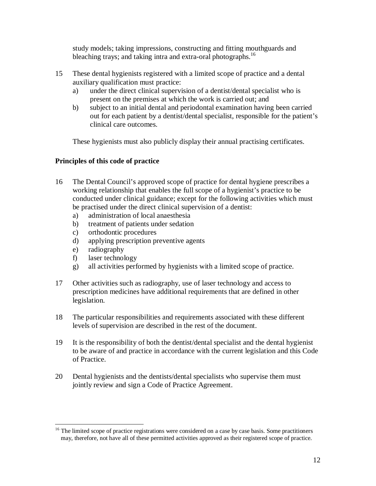study models; taking impressions, constructing and fitting mouthguards and bleaching trays; and taking intra and extra-oral photographs.<sup>16</sup>

- 15 These dental hygienists registered with a limited scope of practice and a dental auxiliary qualification must practice:
	- a) under the direct clinical supervision of a dentist/dental specialist who is present on the premises at which the work is carried out; and
	- b) subject to an initial dental and periodontal examination having been carried out for each patient by a dentist/dental specialist, responsible for the patient's clinical care outcomes.

These hygienists must also publicly display their annual practising certificates.

#### **Principles of this code of practice**

- 16 The Dental Council's approved scope of practice for dental hygiene prescribes a working relationship that enables the full scope of a hygienist's practice to be conducted under clinical guidance; except for the following activities which must be practised under the direct clinical supervision of a dentist:
	- a) administration of local anaesthesia
	- b) treatment of patients under sedation
	- c) orthodontic procedures
	- d) applying prescription preventive agents
	- e) radiography
	- f) laser technology
	- g) all activities performed by hygienists with a limited scope of practice.
- 17 Other activities such as radiography, use of laser technology and access to prescription medicines have additional requirements that are defined in other legislation.
- 18 The particular responsibilities and requirements associated with these different levels of supervision are described in the rest of the document.
- 19 It is the responsibility of both the dentist/dental specialist and the dental hygienist to be aware of and practice in accordance with the current legislation and this Code of Practice.
- 20 Dental hygienists and the dentists/dental specialists who supervise them must jointly review and sign a Code of Practice Agreement.

<sup>&</sup>lt;u>.</u> <sup>16</sup> The limited scope of practice registrations were considered on a case by case basis. Some practitioners may, therefore, not have all of these permitted activities approved as their registered scope of practice.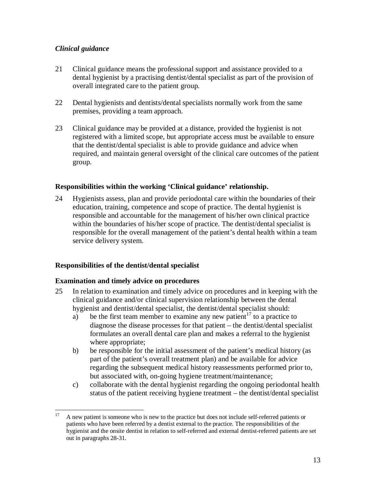#### *Clinical guidance*

- 21 Clinical guidance means the professional support and assistance provided to a dental hygienist by a practising dentist/dental specialist as part of the provision of overall integrated care to the patient group.
- 22 Dental hygienists and dentists/dental specialists normally work from the same premises, providing a team approach.
- 23 Clinical guidance may be provided at a distance, provided the hygienist is not registered with a limited scope, but appropriate access must be available to ensure that the dentist/dental specialist is able to provide guidance and advice when required, and maintain general oversight of the clinical care outcomes of the patient group.

#### **Responsibilities within the working 'Clinical guidance' relationship.**

24 Hygienists assess, plan and provide periodontal care within the boundaries of their education, training, competence and scope of practice. The dental hygienist is responsible and accountable for the management of his/her own clinical practice within the boundaries of his/her scope of practice. The dentist/dental specialist is responsible for the overall management of the patient's dental health within a team service delivery system.

#### **Responsibilities of the dentist/dental specialist**

#### **Examination and timely advice on procedures**

- 25 In relation to examination and timely advice on procedures and in keeping with the clinical guidance and/or clinical supervision relationship between the dental hygienist and dentist/dental specialist, the dentist/dental specialist should:
	- a) be the first team member to examine any new patient<sup>17</sup> to a practice to diagnose the disease processes for that patient – the dentist/dental specialist formulates an overall dental care plan and makes a referral to the hygienist where appropriate;
	- b) be responsible for the initial assessment of the patient's medical history (as part of the patient's overall treatment plan) and be available for advice regarding the subsequent medical history reassessments performed prior to, but associated with, on-going hygiene treatment/maintenance;
	- c) collaborate with the dental hygienist regarding the ongoing periodontal health status of the patient receiving hygiene treatment – the dentist/dental specialist

 $17<sup>17</sup>$ <sup>17</sup> A new patient is someone who is new to the practice but does not include self-referred patients or patients who have been referred by a dentist external to the practice. The responsibilities of the hygienist and the onsite dentist in relation to self-referred and external dentist-referred patients are set out in paragraphs 28-31.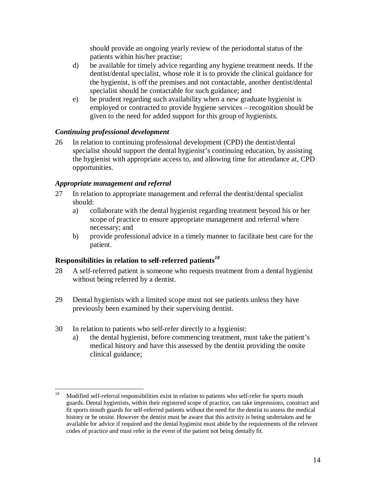should provide an ongoing yearly review of the periodontal status of the patients within his/her practise;

- d) be available for timely advice regarding any hygiene treatment needs. If the dentist/dental specialist, whose role it is to provide the clinical guidance for the hygienist, is off the premises and not contactable, another dentist/dental specialist should be contactable for such guidance; and
- e) be prudent regarding such availability when a new graduate hygienist is employed or contracted to provide hygiene services – recognition should be given to the need for added support for this group of hygienists.

#### *Continuing professional development*

26 In relation to continuing professional development (CPD) the dentist/dental specialist should support the dental hygienist's continuing education, by assisting the hygienist with appropriate access to, and allowing time for attendance at, CPD opportunities.

#### *Appropriate management and referral*

- 27 In relation to appropriate management and referral the dentist/dental specialist should:
	- a) collaborate with the dental hygienist regarding treatment beyond his or her scope of practice to ensure appropriate management and referral where necessary; and
	- b) provide professional advice in a timely manner to facilitate best care for the patient.

#### **Responsibilities in relation to self-referred patients***<sup>18</sup>*

- 28 A self-referred patient is someone who requests treatment from a dental hygienist without being referred by a dentist.
- 29 Dental hygienists with a limited scope must not see patients unless they have previously been examined by their supervising dentist.
- 30 In relation to patients who self-refer directly to a hygienist:
	- a) the dental hygienist, before commencing treatment, must take the patient's medical history and have this assessed by the dentist providing the onsite clinical guidance;

<sup>18</sup> <sup>18</sup> Modified self-referral responsibilities exist in relation to patients who self-refer for sports mouth guards. Dental hygienists, within their registered scope of practice, can take impressions, construct and fit sports mouth guards for self-referred patients without the need for the dentist to assess the medical history or be onsite. However the dentist must be aware that this activity is being undertaken and be available for advice if required and the dental hygienist must abide by the requirements of the relevant codes of practice and must refer in the event of the patient not being dentally fit.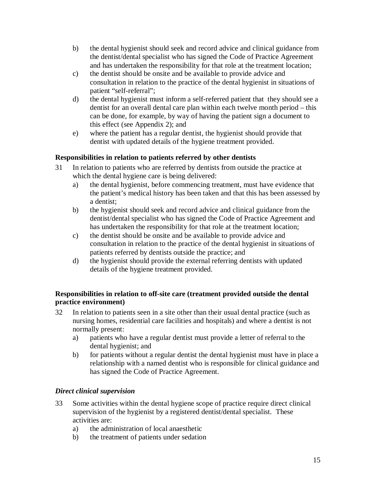- b) the dental hygienist should seek and record advice and clinical guidance from the dentist/dental specialist who has signed the Code of Practice Agreement and has undertaken the responsibility for that role at the treatment location;
- c) the dentist should be onsite and be available to provide advice and consultation in relation to the practice of the dental hygienist in situations of patient "self-referral";
- d) the dental hygienist must inform a self-referred patient that they should see a dentist for an overall dental care plan within each twelve month period – this can be done, for example, by way of having the patient sign a document to this effect (see Appendix 2); and
- e) where the patient has a regular dentist, the hygienist should provide that dentist with updated details of the hygiene treatment provided.

#### **Responsibilities in relation to patients referred by other dentists**

- 31 In relation to patients who are referred by dentists from outside the practice at which the dental hygiene care is being delivered:
	- a) the dental hygienist, before commencing treatment, must have evidence that the patient's medical history has been taken and that this has been assessed by a dentist;
	- b) the hygienist should seek and record advice and clinical guidance from the dentist/dental specialist who has signed the Code of Practice Agreement and has undertaken the responsibility for that role at the treatment location;
	- c) the dentist should be onsite and be available to provide advice and consultation in relation to the practice of the dental hygienist in situations of patients referred by dentists outside the practice; and
	- d) the hygienist should provide the external referring dentists with updated details of the hygiene treatment provided.

#### **Responsibilities in relation to off-site care (treatment provided outside the dental practice environment)**

- 32 In relation to patients seen in a site other than their usual dental practice (such as nursing homes, residential care facilities and hospitals) and where a dentist is not normally present:
	- a) patients who have a regular dentist must provide a letter of referral to the dental hygienist; and
	- b) for patients without a regular dentist the dental hygienist must have in place a relationship with a named dentist who is responsible for clinical guidance and has signed the Code of Practice Agreement.

#### *Direct clinical supervision*

- 33 Some activities within the dental hygiene scope of practice require direct clinical supervision of the hygienist by a registered dentist/dental specialist. These activities are:
	- a) the administration of local anaesthetic
	- b) the treatment of patients under sedation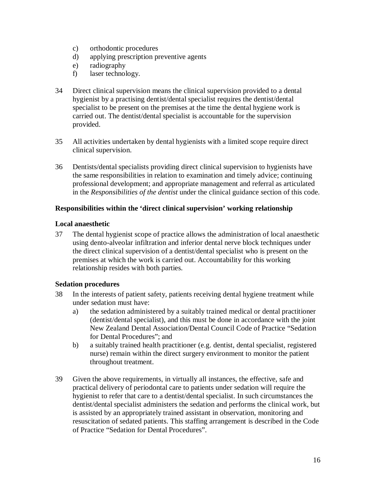- c) orthodontic procedures
- d) applying prescription preventive agents
- e) radiography
- f) laser technology.
- 34 Direct clinical supervision means the clinical supervision provided to a dental hygienist by a practising dentist/dental specialist requires the dentist/dental specialist to be present on the premises at the time the dental hygiene work is carried out. The dentist/dental specialist is accountable for the supervision provided.
- 35 All activities undertaken by dental hygienists with a limited scope require direct clinical supervision.
- 36 Dentists/dental specialists providing direct clinical supervision to hygienists have the same responsibilities in relation to examination and timely advice; continuing professional development; and appropriate management and referral as articulated in the *Responsibilities of the dentist* under the clinical guidance section of this code.

#### **Responsibilities within the 'direct clinical supervision' working relationship**

#### **Local anaesthetic**

37 The dental hygienist scope of practice allows the administration of local anaesthetic using dento-alveolar infiltration and inferior dental nerve block techniques under the direct clinical supervision of a dentist/dental specialist who is present on the premises at which the work is carried out. Accountability for this working relationship resides with both parties.

#### **Sedation procedures**

- 38 In the interests of patient safety, patients receiving dental hygiene treatment while under sedation must have:
	- a) the sedation administered by a suitably trained medical or dental practitioner (dentist/dental specialist), and this must be done in accordance with the joint New Zealand Dental Association/Dental Council Code of Practice "Sedation for Dental Procedures"; and
	- b) a suitably trained health practitioner (e.g. dentist, dental specialist, registered nurse) remain within the direct surgery environment to monitor the patient throughout treatment.
- 39 Given the above requirements, in virtually all instances, the effective, safe and practical delivery of periodontal care to patients under sedation will require the hygienist to refer that care to a dentist/dental specialist. In such circumstances the dentist/dental specialist administers the sedation and performs the clinical work, but is assisted by an appropriately trained assistant in observation, monitoring and resuscitation of sedated patients. This staffing arrangement is described in the Code of Practice "Sedation for Dental Procedures".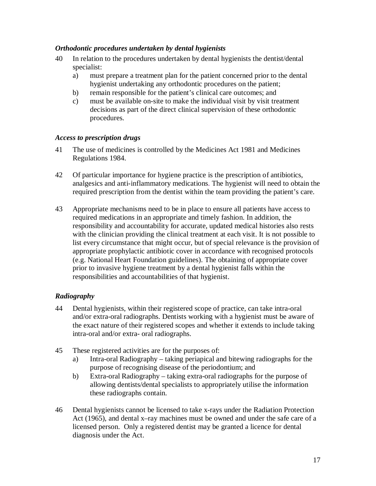#### *Orthodontic procedures undertaken by dental hygienists*

- 40 In relation to the procedures undertaken by dental hygienists the dentist/dental specialist:
	- a) must prepare a treatment plan for the patient concerned prior to the dental hygienist undertaking any orthodontic procedures on the patient;
	- b) remain responsible for the patient's clinical care outcomes; and
	- c) must be available on-site to make the individual visit by visit treatment decisions as part of the direct clinical supervision of these orthodontic procedures.

#### *Access to prescription drugs*

- 41 The use of medicines is controlled by the Medicines Act 1981 and Medicines Regulations 1984.
- 42 Of particular importance for hygiene practice is the prescription of antibiotics, analgesics and anti-inflammatory medications. The hygienist will need to obtain the required prescription from the dentist within the team providing the patient's care.
- 43 Appropriate mechanisms need to be in place to ensure all patients have access to required medications in an appropriate and timely fashion. In addition, the responsibility and accountability for accurate, updated medical histories also rests with the clinician providing the clinical treatment at each visit. It is not possible to list every circumstance that might occur, but of special relevance is the provision of appropriate prophylactic antibiotic cover in accordance with recognised protocols (e.g. National Heart Foundation guidelines). The obtaining of appropriate cover prior to invasive hygiene treatment by a dental hygienist falls within the responsibilities and accountabilities of that hygienist.

#### *Radiography*

- 44 Dental hygienists, within their registered scope of practice, can take intra-oral and/or extra-oral radiographs. Dentists working with a hygienist must be aware of the exact nature of their registered scopes and whether it extends to include taking intra-oral and/or extra- oral radiographs.
- 45 These registered activities are for the purposes of:
	- a) Intra-oral Radiography taking periapical and bitewing radiographs for the purpose of recognising disease of the periodontium; and
	- b) Extra-oral Radiography taking extra-oral radiographs for the purpose of allowing dentists/dental specialists to appropriately utilise the information these radiographs contain.
- 46 Dental hygienists cannot be licensed to take x-rays under the Radiation Protection Act (1965), and dental x–ray machines must be owned and under the safe care of a licensed person. Only a registered dentist may be granted a licence for dental diagnosis under the Act.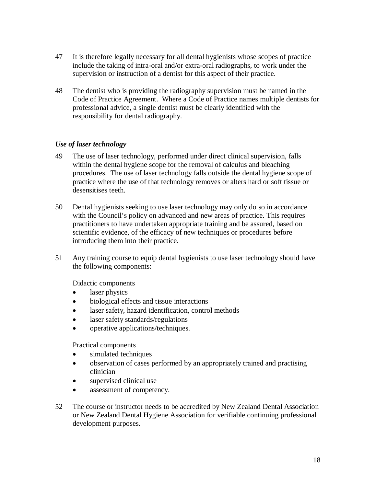- 47 It is therefore legally necessary for all dental hygienists whose scopes of practice include the taking of intra-oral and/or extra-oral radiographs, to work under the supervision or instruction of a dentist for this aspect of their practice.
- 48 The dentist who is providing the radiography supervision must be named in the Code of Practice Agreement. Where a Code of Practice names multiple dentists for professional advice, a single dentist must be clearly identified with the responsibility for dental radiography.

#### *Use of laser technology*

- 49 The use of laser technology, performed under direct clinical supervision, falls within the dental hygiene scope for the removal of calculus and bleaching procedures. The use of laser technology falls outside the dental hygiene scope of practice where the use of that technology removes or alters hard or soft tissue or desensitises teeth.
- 50 Dental hygienists seeking to use laser technology may only do so in accordance with the Council's policy on advanced and new areas of practice. This requires practitioners to have undertaken appropriate training and be assured, based on scientific evidence, of the efficacy of new techniques or procedures before introducing them into their practice.
- 51 Any training course to equip dental hygienists to use laser technology should have the following components:

Didactic components

- laser physics
- biological effects and tissue interactions
- laser safety, hazard identification, control methods
- laser safety standards/regulations
- operative applications/techniques.

Practical components

- simulated techniques
- observation of cases performed by an appropriately trained and practising clinician
- supervised clinical use
- assessment of competency.
- 52 The course or instructor needs to be accredited by New Zealand Dental Association or New Zealand Dental Hygiene Association for verifiable continuing professional development purposes.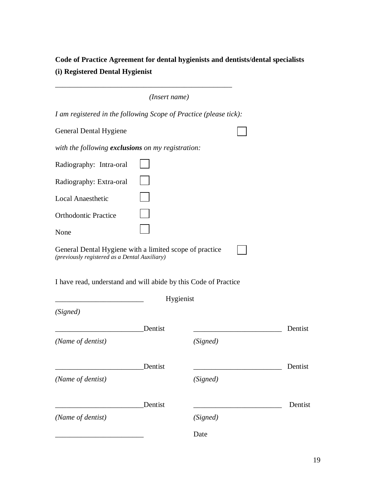**Code of Practice Agreement for dental hygienists and dentists/dental specialists (i) Registered Dental Hygienist** 

|                                                                                                          | (Insert name) |           |         |
|----------------------------------------------------------------------------------------------------------|---------------|-----------|---------|
| I am registered in the following Scope of Practice (please tick):                                        |               |           |         |
| General Dental Hygiene                                                                                   |               |           |         |
| with the following <b>exclusions</b> on my registration:                                                 |               |           |         |
| Radiography: Intra-oral                                                                                  |               |           |         |
| Radiography: Extra-oral                                                                                  |               |           |         |
| <b>Local Anaesthetic</b>                                                                                 |               |           |         |
| <b>Orthodontic Practice</b>                                                                              |               |           |         |
| None                                                                                                     |               |           |         |
| General Dental Hygiene with a limited scope of practice<br>(previously registered as a Dental Auxiliary) |               |           |         |
| I have read, understand and will abide by this Code of Practice                                          |               |           |         |
| (Signed)                                                                                                 |               | Hygienist |         |
|                                                                                                          | Dentist       |           | Dentist |
| (Name of dentist)                                                                                        |               | (Signed)  |         |
|                                                                                                          | Dentist       |           | Dentist |
| (Name of dentist)                                                                                        |               | (Signed)  |         |
|                                                                                                          | Dentist       |           | Dentist |
| (Name of dentist)                                                                                        |               | (Signed)  |         |
|                                                                                                          |               | Date      |         |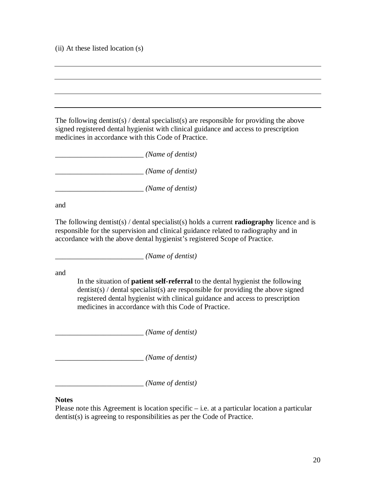(ii) At these listed location (s)

The following dentist(s) / dental specialist(s) are responsible for providing the above signed registered dental hygienist with clinical guidance and access to prescription medicines in accordance with this Code of Practice.

\_\_\_\_\_\_\_\_\_\_\_\_\_\_\_\_\_\_\_\_\_\_\_\_ *(Name of dentist)*

\_\_\_\_\_\_\_\_\_\_\_\_\_\_\_\_\_\_\_\_\_\_\_\_ *(Name of dentist)*

\_\_\_\_\_\_\_\_\_\_\_\_\_\_\_\_\_\_\_\_\_\_\_\_ *(Name of dentist)* 

and

The following dentist(s) / dental specialist(s) holds a current **radiography** licence and is responsible for the supervision and clinical guidance related to radiography and in accordance with the above dental hygienist's registered Scope of Practice.

\_\_\_\_\_\_\_\_\_\_\_\_\_\_\_\_\_\_\_\_\_\_\_\_ *(Name of dentist)*

and

In the situation of **patient self-referral** to the dental hygienist the following  $d$ entist(s) / dental specialist(s) are responsible for providing the above signed registered dental hygienist with clinical guidance and access to prescription medicines in accordance with this Code of Practice.

\_\_\_\_\_\_\_\_\_\_\_\_\_\_\_\_\_\_\_\_\_\_\_\_ *(Name of dentist)*

\_\_\_\_\_\_\_\_\_\_\_\_\_\_\_\_\_\_\_\_\_\_\_\_ *(Name of dentist)*

\_\_\_\_\_\_\_\_\_\_\_\_\_\_\_\_\_\_\_\_\_\_\_\_ *(Name of dentist)*

#### **Notes**

Please note this Agreement is location specific  $-$  i.e. at a particular location a particular dentist(s) is agreeing to responsibilities as per the Code of Practice.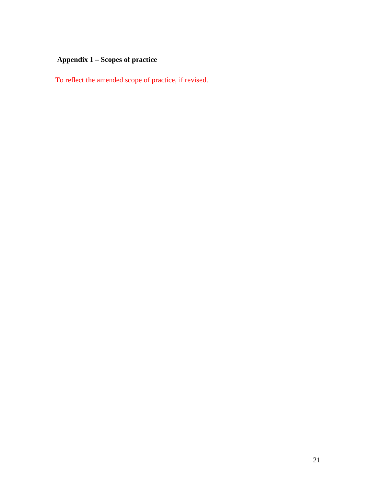## **Appendix 1 – Scopes of practice**

To reflect the amended scope of practice, if revised.